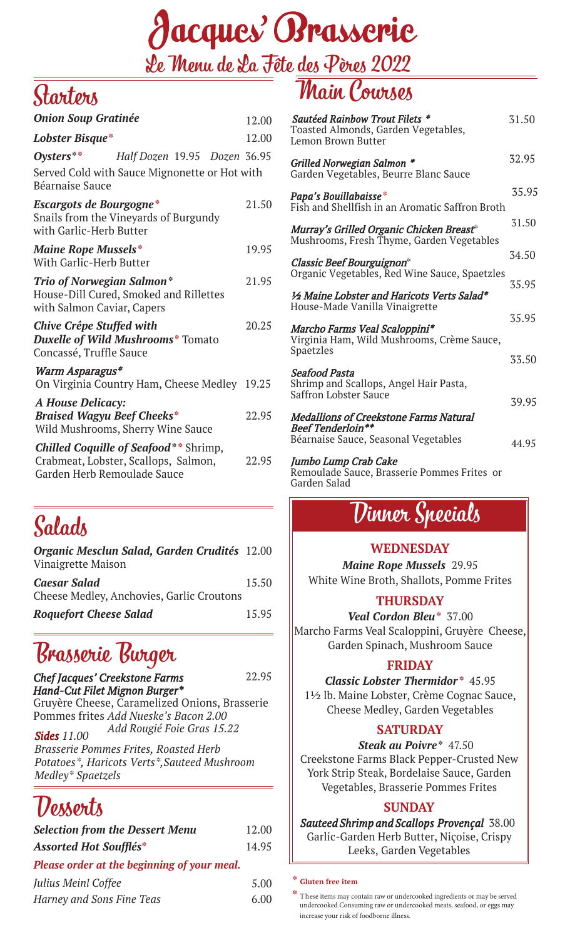

### Starters

| 12.00                                         |
|-----------------------------------------------|
| 12.00                                         |
| Half Dozen 19.95 Dozen 36.95                  |
| Served Cold with Sauce Mignonette or Hot with |
| 21.50                                         |
| 19.95                                         |
| 21.95                                         |
| 20.25                                         |
| On Virginia Country Ham, Cheese Medley 19.25  |
| 22.95                                         |
| 22.95                                         |
|                                               |

### Salads

| Organic Mesclun Salad, Garden Crudités 12.00<br>Vinaigrette Maison |       |
|--------------------------------------------------------------------|-------|
| <b>Caesar Salad</b><br>Cheese Medley, Anchovies, Garlic Croutons   | 15.50 |
| <b>Roquefort Cheese Salad</b>                                      | 15.95 |

### Brasserie Burger

**Chef Jacques' Creekstone Farms** 

22.95

Hand-Cut Filet Mignon Burger\* Gruyère Cheese, Caramelized Onions, Brasserie Pommes frites Add Nueske's Bacon 2.00 Add Rougié Foie Gras 15.22

*Sides 11.00 Brasserie Pommes Frites, Roasted Herb Potatoes\*, Haricots Verts\*,Sauteed Mushroom Medley\* Spaetzels*

### Desserts

| <b>Selection from the Dessert Menu</b>      | 12.00 |
|---------------------------------------------|-------|
| <b>Assorted Hot Soufflés*</b>               | 14.95 |
| Please order at the beginning of your meal. |       |
| Julius Meinl Coffee                         | 5.00  |
| Harney and Sons Fine Teas                   | 6.00  |

### Main Courses

| <b>Sautéed Rainbow Trout Filets *</b><br>Toasted Almonds, Garden Vegetables,<br>Lemon Brown Butter | 31.50 |
|----------------------------------------------------------------------------------------------------|-------|
| Grilled Norwegian Salmon *<br>Garden Vegetables, Beurre Blanc Sauce                                | 32.95 |
| Papa's Bouillabaisse*<br>Fish and Shellfish in an Aromatic Saffron Broth                           | 35.95 |
| Murray's Grilled Organic Chicken Breast*<br>Mushrooms, Fresh Thyme, Garden Vegetables              | 31.50 |
| <b>Classic Beef Bourguignon*</b><br>Organic Vegetables, Red Wine Sauce, Spaetzles                  | 34.50 |
| 1/2 Maine Lobster and Haricots Verts Salad*<br>House-Made Vanilla Vinaigrette                      | 35.95 |
| Marcho Farms Veal Scaloppini*<br>Virginia Ham, Wild Mushrooms, Crème Sauce,                        | 35.95 |
| Spaetzles                                                                                          | 33.50 |
| Seafood Pasta<br>Shrimp and Scallops, Angel Hair Pasta,<br><b>Saffron Lobster Sauce</b>            | 39.95 |
| <b>Medallions of Creekstone Farms Natural</b><br><b>Beef Tenderloin**</b>                          |       |
| Béarnaise Sauce, Seasonal Vegetables                                                               | 44.95 |

#### Jumbo Lump Crab Cake

Remoulade Sauce, Brasserie Pommes Frites or Garden Salad

### Dinner Specials

#### **WEDNESDAY**

*Maine Rope Mussels* 29.95 White Wine Broth, Shallots, Pomme Frites

#### **THURSDAY**

*Veal Cordon Bleu***\*** 37.00 Marcho Farms Veal Scaloppini, Gruyère Cheese, Garden Spinach, Mushroom Sauce

#### **FRIDAY**

*Classic Lobster Thermidor* **\*** 45.95 1½ lb. Maine Lobster, Crème Cognac Sauce, Cheese Medley, Garden Vegetables

#### **SATURDAY**

 *Steak au Poivre***\*** 47.50 Creekstone Farms Black Pepper-Crusted New York Strip Steak, Bordelaise Sauce, Garden Vegetables, Brasserie Pommes Frites

#### **SUNDAY**

*Sauteed Shrimp and Scallops Provençal* 38.00 Garlic-Garden Herb Butter, Niçoise, Crispy Leeks, Garden Vegetables

#### **\* Gluten free item**

**<sup>\*</sup>** These items may contain raw or undercooked ingredients or may be served undercooked.Consuming raw or undercooked meats, seafood, or eggs may increase your risk of foodborne illness.